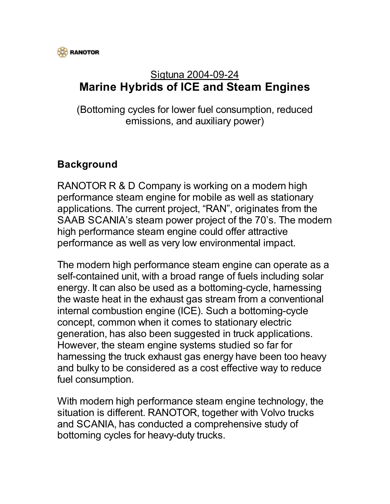

## Sigtuna 2004-09-24 **Marine Hybrids of ICE and Steam Engines**

(Bottoming cycles for lower fuel consumption, reduced emissions, and auxiliary power)

## **Background**

RANOTOR R & D Company is working on a modern high performance steam engine for mobile as well as stationary applications. The current project, "RAN", originates from the SAAB SCANIA's steam power project of the 70's. The modern high performance steam engine could offer attractive performance as well as very low environmental impact.

The modern high performance steam engine can operate as a self-contained unit, with a broad range of fuels including solar energy. It can also be used as a bottoming-cycle, harnessing the waste heat in the exhaust gas stream from a conventional internal combustion engine (ICE). Such a bottoming-cycle concept, common when it comes to stationary electric generation, has also been suggested in truck applications. However, the steam engine systems studied so far for harnessing the truck exhaust gas energy have been too heavy and bulky to be considered as a cost effective way to reduce fuel consumption.

With modern high performance steam engine technology, the situation is different. RANOTOR, together with Volvo trucks and SCANIA, has conducted a comprehensive study of bottoming cycles for heavy-duty trucks.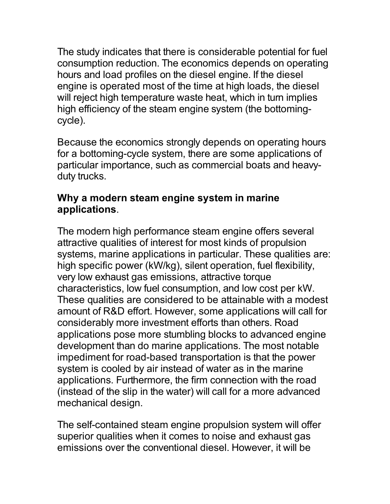The study indicates that there is considerable potential for fuel consumption reduction. The economics depends on operating hours and load profiles on the diesel engine. If the diesel engine is operated most of the time at high loads, the diesel will reject high temperature waste heat, which in turn implies high efficiency of the steam engine system (the bottomingcycle).

Because the economics strongly depends on operating hours for a bottoming-cycle system, there are some applications of particular importance, such as commercial boats and heavyduty trucks.

## **Why a modern steam engine system in marine applications**.

The modern high performance steam engine offers several attractive qualities of interest for most kinds of propulsion systems, marine applications in particular. These qualities are: high specific power (kW/kg), silent operation, fuel flexibility, very low exhaust gas emissions, attractive torque characteristics, low fuel consumption, and low cost per kW. These qualities are considered to be attainable with a modest amount of R&D effort. However, some applications will call for considerably more investment efforts than others. Road applications pose more stumbling blocks to advanced engine development than do marine applications. The most notable impediment for road-based transportation is that the power system is cooled by air instead of water as in the marine applications. Furthermore, the firm connection with the road (instead of the slip in the water) will call for a more advanced mechanical design.

The self-contained steam engine propulsion system will offer superior qualities when it comes to noise and exhaust gas emissions over the conventional diesel. However, it will be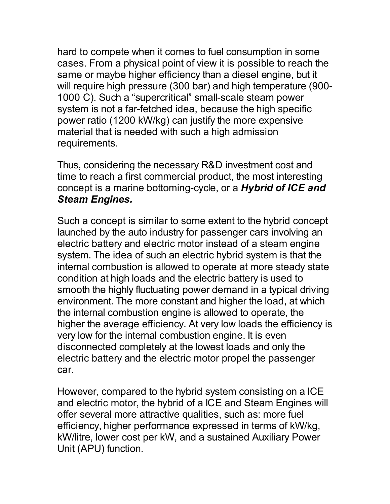hard to compete when it comes to fuel consumption in some cases. From a physical point of view it is possible to reach the same or maybe higher efficiency than a diesel engine, but it will require high pressure (300 bar) and high temperature (900- 1000 C). Such a "supercritical" small-scale steam power system is not a far-fetched idea, because the high specific power ratio (1200 kW/kg) can justify the more expensive material that is needed with such a high admission requirements.

Thus, considering the necessary R&D investment cost and time to reach a first commercial product, the most interesting concept is a marine bottoming-cycle, or a *Hybrid of ICE and Steam Engines.*

Such a concept is similar to some extent to the hybrid concept launched by the auto industry for passenger cars involving an electric battery and electric motor instead of a steam engine system. The idea of such an electric hybrid system is that the internal combustion is allowed to operate at more steady state condition at high loads and the electric battery is used to smooth the highly fluctuating power demand in a typical driving environment. The more constant and higher the load, at which the internal combustion engine is allowed to operate, the higher the average efficiency. At very low loads the efficiency is very low for the internal combustion engine. It is even disconnected completely at the lowest loads and only the electric battery and the electric motor propel the passenger car.

However, compared to the hybrid system consisting on a ICE and electric motor, the hybrid of a ICE and Steam Engines will offer several more attractive qualities, such as: more fuel efficiency, higher performance expressed in terms of kW/kg, kW/litre, lower cost per kW, and a sustained Auxiliary Power Unit (APU) function.